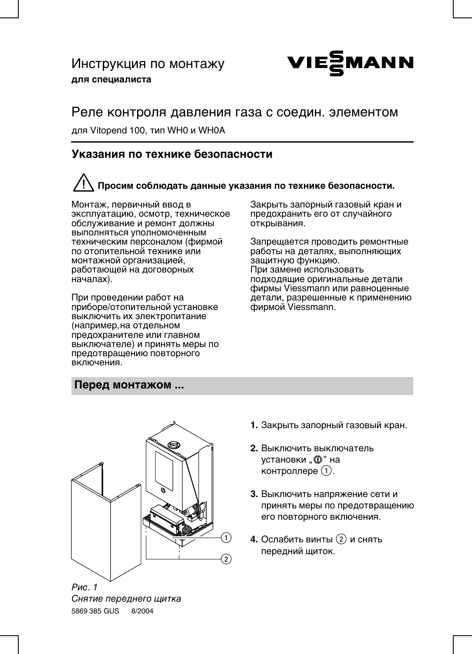# Инструкция по монтажу для специалиста



## Реле контроля давления газа с соедин. элементом

для Vitopend 100, тип WH0 и WH0A

### Указания по технике безопасности

# Просим соблюдать данные указания по технике безопасности.

Монтаж, первичный ввод в эксплуатацию, осмотр, техническое обслуживание и ремонт должны выполняться уполномоченным техническим персоналом (фирмой по отопительной технике или монтажной организацией, работающей на договорных началах).

При проведении работ на приборе/отопительной установке выключить их электропитание (например, на отдельном предохранителе или главном выключателе) и принять меры по предотвращению повторного включения.

Закрыть запорный газовый кран и предохранить его от случайного открывания.

Запрешается проводить ремонтные работы на деталях, выполняющих защитную функцию. При замене использовать подходящие оригинальные детали фирмы Viessmann или равноценные детали, разрешенные к применению фирмой Viessmann.

### Перед монтажом ...



Снятие переднего щитка 5869 385 GUS 8/2004

- 1. Закрыть запорный газовый кран.
- 2. Выключить выключатель установки "<sup>(0</sup>)" на контроллере (1).
- 3. Выключить напряжение сети и принять меры по предотвращению его повторного включения.
- 4. Ослабить винты (2) и снять передний щиток.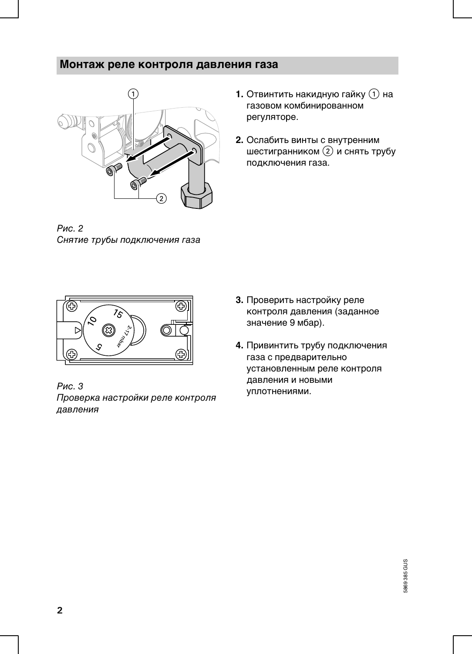### Монтаж реле контроля давления газа



Рис. 2 Снятие трубы подключения газа

- 1. Отвинтить накидную гайку  $(1)$  на газовом комбинированном регуляторе.
- 2. Ослабить винты с внутренним шестигранником (2) и снять трубу подключения газа.



Рис. 3 Проверка настройки реле контроля давления

- 3. Проверить настройку реле контроля давления (заданное значение 9 мбар).
- 4. Привинтить трубу подключения газа с предварительно установленным реле контроля давления и новыми уплотнениями.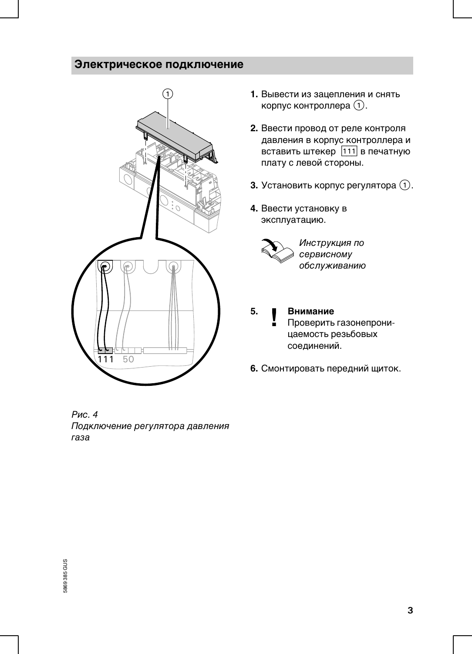## Электрическое подключение



Рис. 4 Подключение регулятора давления газа

- 1. Вывести из зацепления и снять корпус контроллера (1).
- 2. Ввести провод от реле контроля давления в корпус контроллера и вставить штекер [111] в печатную плату с левой стороны.
- **3.** Установить корпус регулятора  $(1)$ .
- 4. Ввести установку в эксплуатацию.



Инструкция по сервисному обслуживанию

- 5. Внимание Проверить газонепроницаемость резьбовых соединений.
- 6. Смонтировать передний щиток.